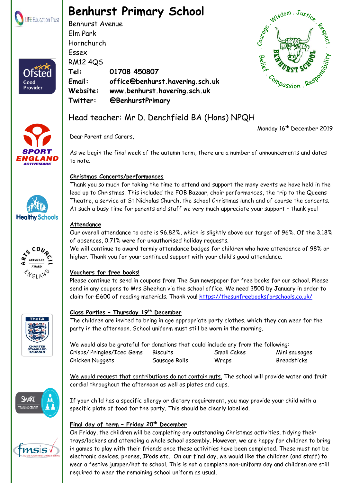

Ofster

Good Provider

# **Benhurst Primary School**

Benhurst Avenue Elm Park Hornchurch Essex RM12 4QS **Tel: 01708 450807 Email: office@benhurst.havering.sch.uk Website: www.benhurst.havering.sch.uk Twitter: @BenhurstPrimary** Hornchurch<br>
Essex<br>
RM12 4Q5<br>
Tel: 01708 450807<br>
Email: office@benhurst.havering.sch.uk<br>
Website: www.benhurst.havering.sch.uk<br>
Twitter: @BenhurstPrimary<br>
Head teacher: Mr D. Denchfield BA (Hons) NPQH



Dear Parent and Carers,

Monday 16<sup>th</sup> December 2019

As we begin the final week of the autumn term, there are a number of announcements and dates to note.

# **Christmas Concerts/performances**

Thank you so much for taking the time to attend and support the many events we have held in the lead up to Christmas. This included the FOB Bazaar, choir performances, the trip to the Queens Theatre, a service at St Nicholas Church, the school Christmas lunch and of course the concerts. At such a busy time for parents and staff we very much appreciate your support – thank you!

# **Attendance**

Our overall attendance to date is 96.82%, which is slightly above our target of 96%. Of the 3.18% of absences, 0.71% were for unauthorised holiday requests.

We will continue to award termly attendance badges for children who have attendance of 98% or higher. Thank you for your continued support with your child's good attendance.

### **Vouchers for free books!**

Please continue to send in coupons from The Sun newspaper for free books for our school. Please send in any coupons to Mrs Sheehan via the school office. We need 3500 by January in order to claim for £600 of reading materials. Thank you!<https://thesunfreebooksforschools.co.uk/>

# **Class Parties – Thursday 19th December**

The children are invited to bring in age appropriate party clothes, which they can wear for the party in the afternoon. School uniform must still be worn in the morning.

| We would also be grateful for donations that could include any from the following: |                 |             |                    |
|------------------------------------------------------------------------------------|-----------------|-------------|--------------------|
| Crisps/Pringles/Iced Gems                                                          | <b>Biscuits</b> | Small Cakes | Mini sausages      |
| Chicken Nuggets                                                                    | Sausage Rolls   | Wraps       | <b>Breadsticks</b> |

We would request that contributions do not contain nuts. The school will provide water and fruit cordial throughout the afternoon as well as plates and cups.

If your child has a specific allergy or dietary requirement, you may provide your child with a specific plate of food for the party. This should be clearly labelled.

# **Final day of term – Friday 20th December**

On Friday, the children will be completing any outstanding Christmas activities, tidying their trays/lockers and attending a whole school assembly. However, we are happy for children to bring in games to play with their friends once these activities have been completed. These must not be electronic devices, phones, IPods etc. On our final day, we would like the children (and staff) to wear a festive jumper/hat to school. This is not a complete non-uniform day and children are still required to wear the remaining school uniform as usual.